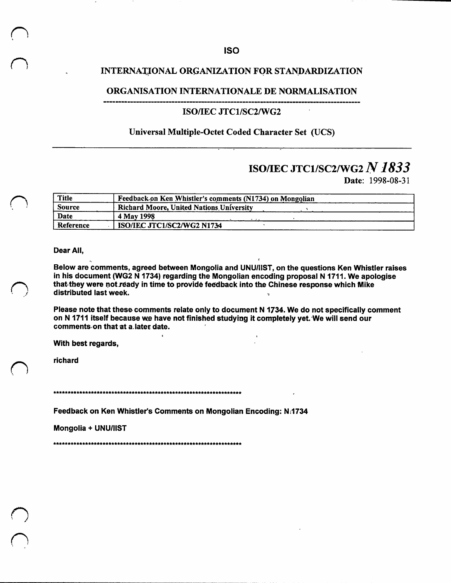## INTERNATIONAL ORGANIZATION FOR STANDARDIZATION

## ORGANISATION INTERNATIONALE DE NORMALISATION

## ISO/IEC JTC1/SC2/WG2

## Universal Multiple-Octet Coded Character Set (UCS)

# ISO/IEC JTC1/SC2/WG2 N 1833

Date: 1998-08-31

| Title     | Feedback on Ken Whistler's comments (N1734) on Mongolian |
|-----------|----------------------------------------------------------|
| Source    | <b>Richard Moore, United Nations University</b>          |
| Date      | 4 May 1998                                               |
| Reference | ISO/IEC JTC1/SC2/WG2 N1734                               |

Dear All,

Below are comments, agreed between Mongolia and UNU/IIST, on the questions Ken Whistler raises in his document (WG2 N 1734) regarding the Mongolian encoding proposal N 1711. We apologise that they were not ready in time to provide feedback into the Chinese response which Mike distributed last week.

Please note that these comments relate only to document N 1734. We do not specifically comment on N 1711 itself because we have not finished studying it completely yet. We will send our comments on that at a later date.

With best regards,

richard

Feedback on Ken Whistler's Comments on Mongolian Encoding: N:1734

Mongolia + UNU/IIST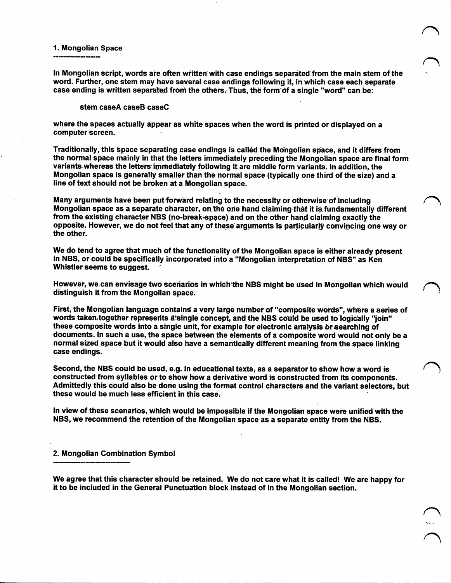#### **1. Mongolian Space**

**In Mongolian script, words are often written'with case endings separated'from the main stem of the word. Further, one stem may have several case endings following it, in which case each separate case** ending is written separated from the others. Thus, the form of a single "word" can be:

#### **stem caseA caseB caseC**

**where the spaces actuaily appear as white spaces when the word is printed or displayed on a computer screen.**

**Traditionally, this space separating case endings is called the Mongolian space, and it differs from the normal space mainly in that the letters immediately preceding the Mongolian space are final form variants whereas the letters'iirimediately following it are middle form variants, in addition, the Mongolian space is generally smaller than the normal space (typically one third of the size) and a line of text should not be broken at a Mongolian space.**

**Many arguments have been put forward relating to the necessity^ or otherwise of including Mongolian space as a separate character, oathe ode hand claiming that it is. fundamentally different from the existing character NBS (no-break-space) and on the other hand claiming exactly the opposite. However, we do not feel that any of these arguments is particularly convincing one way or the other.**

**We do tend to agree that much of the functionality of the Mongolian space is either already present in NBS, or could be specifically incorporated into a "Mongolian interpretation of NBS" as Ken Whistler seems to suggest.**

**However, we can envisage two scenarios in which'the NBS might be used in Mongolian which would distinguish it from the Mongolian space.**

**First, the Mongolian language contain^ a very large number of "composite words", where a series of words takemtogether represents atsingle concept, and the NBS could be used to logically "join" these composite words into a singie unit, for example for electronic analysis Or searching of** documents. In such a use, the space between the elements of a composite word would not only be a **normal sized space but it would also have a semantically different meaning from the space linking case endings.**

Second, the NBS could be used, e.g. in educational texts, as a separator to show how a word is **constructed from syllables or to show how a derivative word is constructed from its components. Admittediy this could also be done using the format control characters and the variant selectors, but these would be much less efficient in this case.**

**In view of these scenarios, which would be impoasibie if the Mongolian space were unified with the NBS, we recommend the retention of the Mongolian space as a separate entity from the NBS.**

### **2. Mongolian Combination Symbol**

We agree that this character should be retained. We do not care what it is called! We are happy for **it to be included in the General Punctuation block instead of in the Mongolian section.**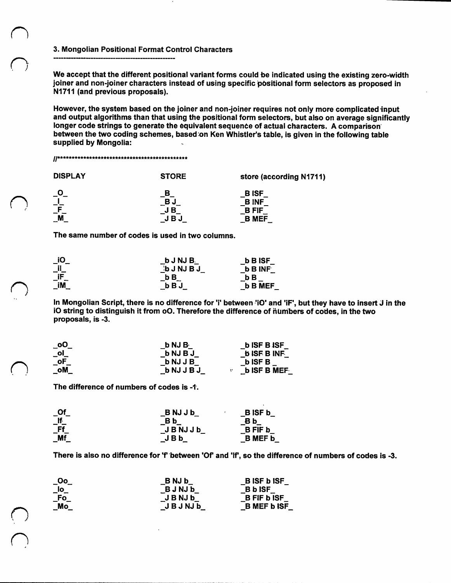#### 3. Mongolian Positional Format Control Characters

We accept that the different positional variant forms could be indicated using the existing zero-width joiner and non-joiner characters instead of using specific pbsitional form selectors as proposed in N1711 (and previous proposals).

However, the system based on the joiner and non-joiner requires not only more complicated input and output algorithms than that using the positional form selectors, but also on average significantly longer code strings to generate the equivalent sequence of actual characters. A comparison between the two coding schemes, based on Ken Whistler's table, is given in the following table supplied by Mongolia:

#### ^y\*\*\*\*\*\*\*\*\*\*\*\*\*\*\*\*\*\*\*\*\*\*\*\*\*\*\*\*\*\*\*\*\*\*\*\*\*\*\*\*\*\*\*\*\*

| <b>DISPLAY</b>                                     | <b>STORE</b>         | store (according N1711)                                    |
|----------------------------------------------------|----------------------|------------------------------------------------------------|
| $\overline{\mathsf{C}}$<br>$\overline{\mathsf{F}}$ | в<br>BJ<br>JВ<br>JBJ | <b>BISF</b><br><b>BINF</b><br><b>B FIF</b><br><b>B MEF</b> |

The same number of codes is used in two columns.

| $\_$ iO      | b J NJ B.     | <b>b</b> B ISF |
|--------------|---------------|----------------|
| $\_$ il $\_$ | <b>bJNJBJ</b> | <b>b</b> B INF |
| $\_$ iF $\_$ | bВ            | b B            |
| _iM          | bBJ           | <b>b B MEF</b> |

In Mongolian Script, there is no difference for 'i' between 'iO' and 'iF', but they have to insert J in the iO string to distinguish it from oO. Therefore the difference of numbers of codes, in the two proposals, is -3.

| $\_$ oO $\_$                         | b NJ B          | <b>b</b> ISF B ISF |
|--------------------------------------|-----------------|--------------------|
| $\overline{\phantom{a}}^{\text{ol}}$ | b NJ B J        | <b>b ISF B INF</b> |
| $\overline{\phantom{a}}$ oF          | <b>b</b> NJ J B | <b>b</b> ISF B     |
| _oM                                  | b NJ J B J      | <b>b ISF B MEF</b> |

The difference of numbers of codes is -1.

O<br>O

n

| $\_$ Of $\_$  | <b>BNJJb</b>  | <b>BISF b</b>  |
|---------------|---------------|----------------|
| $\_$ If $\_$  | B b           | B b            |
| - Ff          | <b>JBNJJb</b> | <b>BFIF b</b>  |
| $\mathsf{Mf}$ | JBb           | <b>B</b> MEF b |

There is also no difference for 'f' between 'Of' and 'If', so the difference of numbers of codes is -3.

| $\_$ 00 $\_$                                         | <b>BNJb</b>   | <b>BISF bISF</b>          |
|------------------------------------------------------|---------------|---------------------------|
| $\overline{\phantom{a}}$ lo $\overline{\phantom{a}}$ | <b>BJNJb</b>  | <b>B</b> b ISF            |
| $\mathsf{\_}$ Fo                                     | JBNJb         | <b>B</b> FIF <b>b</b> ISF |
| $\Box$ Mo                                            | <b>JBJNJb</b> | <b>B MEF b ISF</b>        |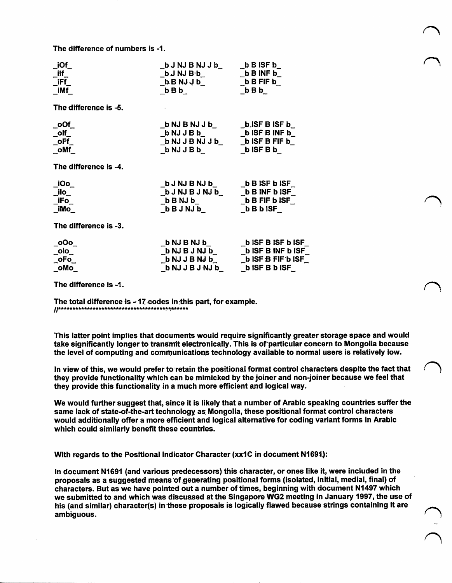**The difference of numbers is -1.**

| $\_$ iOf $\_$<br>_ilf_<br>_iFf_<br>_iMf_                                                                       | $\_b$ J NJ B NJ J b $\_$ $\_b$ B ISF b $\_$<br>_b B NJ J b_<br>_b B FIF b_<br>_b J NJ B ·b_ to B INF b_<br>$_bBBb$ $_bBBb$                                                                                                                    |  |
|----------------------------------------------------------------------------------------------------------------|-----------------------------------------------------------------------------------------------------------------------------------------------------------------------------------------------------------------------------------------------|--|
| The difference is -5.                                                                                          |                                                                                                                                                                                                                                               |  |
| $\_$ oOf $\_$<br>$\_$ olf $\_$<br>$\_$ oFf $\_$<br>$\_$ oMf $\_$                                               |                                                                                                                                                                                                                                               |  |
| The difference is -4.                                                                                          |                                                                                                                                                                                                                                               |  |
| $\_IOo$<br>$\_$ ilo $\_$<br>$\_$ iFo $\_$<br>_iMo                                                              |                                                                                                                                                                                                                                               |  |
| The difference is -3.                                                                                          |                                                                                                                                                                                                                                               |  |
| $\overline{\phantom{0}}$ 000 $\overline{\phantom{0}}$<br>$\_$ olo $\_$<br>$\_oFo$<br>$_{\circ}$ oMo $_{\circ}$ | _b NJ B NJ b___________b ISF B ISF b ISI<br>_b NJ B J NJ b___________b ISF B INF b ISI<br>_b NJ J B NJ b__________b ISF B FIF b ISI<br>$\overline{\phantom{a}}$ b NJ J B J NJ $\overline{\phantom{a}}$ $\overline{\phantom{a}}$ b ISF B b ISF |  |

**The difference is -1.**

**The total difference is ^ 17 codes in this part, for example.** ^**1**\*\*\*\*\*\*\*\*\*\*\*\*\*\*\*\*\*\*\*\*\*\*\*\*\*\*\*\*\*\*\*\*\*\*\*\*\*\*\*\*\*\*\*\*\*

**This latter point implies that documents would require significantly greater storage space and would take significantly longer to transmit electronically. This is ofparticular concern to Mongolia because the level of computing and comrbunications technology available to normal users is relatively low.**

In view of this, we would prefer to retain the positional format control characters despite the fact that **they provide functionality which can be mimicked by the joiner and non-Joiner because we feel that they provide this functionality in a much more efficient and logical way.**

**We would further suggest that, since it is likely that a number of Arabic speaking countries suffer the same lack of state-of-the-art technology as Mongolia, these positional format control characters would additionally offer a more efficient and logical alternative for coding variant forms in Arabic which could similarly benefit these countries.**

**With regards to the Positional Indicator Character (xxIC in document N1691):**

**In document N1691 (and various predecessors) this character, or ones like it, were included in the proposals as a suggested means ofgenerating positional forms (isolated. Initial, medial, final) of characters. But as we have pointed out a number of times, beginning with document N1497 which we submitted to and which was discussed at the Singapore WG2 meeting in January 1997, the use of his (and similar) character(s) in these proposals is logically flawed because strings containing it are ambiguous.**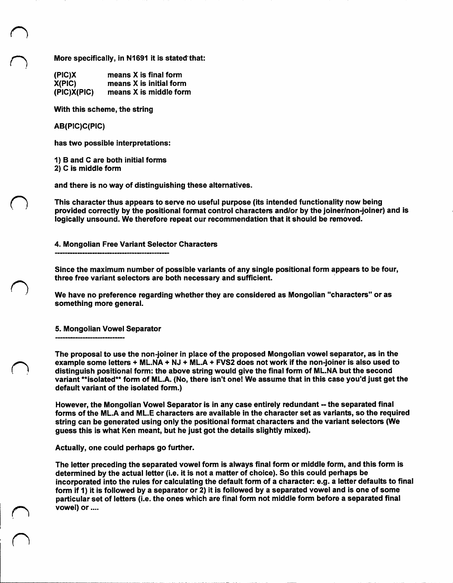More specifically, in N1691 it is stated that:

| (PIC)X      | means X is final form   |
|-------------|-------------------------|
| X(PIC)      | means X is initial form |
| (PIC)X(PIC) | means X is middle form  |

With this scheme, the string

AB(PIC)C(PIC)

has two possible interpretations:

1) B and C are both initial forms

2) C is middle form

and there is no way of distinguishing these alternatives.

This character thus appears to serve no useful purpose (its intended functionality now being provided correctly by the positional format control characters and/or by the joiner/non-joiner) and is logically unsound. We therefore repeat our recommendation that it should be removed.

4. Mongolian Free Variant Selector Characters

Since the maximum number of possible variants of any single positional form appears to be four, three free variant selectors are both necessary and sufficient.

We have no preference regarding whether they are considered as Mongolian "characters" or as something more general.

5. Mongolian Vowel Separator

The proposal to use the non-joiner in place of the proposed Mongolian vowel separator, as in the example some letters *+* ML.NA + NJ + ML.A + FVS2 does not work if the non-Joiner is also used to distinguish positional form: the above string would give the final form of ML.NA but the second variant \*\*isolated\*\* form of ML.A. (No, there isn't one! We assume that in this case you'd just get the default variant of the isolated form.)

However, the Mongolian Vowel Separator is in any case entirely redundant -- the separated final forms of the ML.A and ML.E characters are available in the characterset as variants, so the required string can be generated using only the positional format characters and the variant selectors (We guess this is what Ken meant, but he just got the details slightly mixed).

Actually, one could perhaps go further.

The letter preceding the separated vowel form is always final form or middle form, and this form is determined by the actual letter (i.e. it is not a matter of choice). So this could perhaps be incorporated into the rules for calculating the default form of a character: e.g. a letter defaults to final form if 1) it is followed by a separator or 2) it is followed by a separated vowel and is one of some particular set of letters (i.e. the ones which are final form not middle form before a separated final vowel) or....